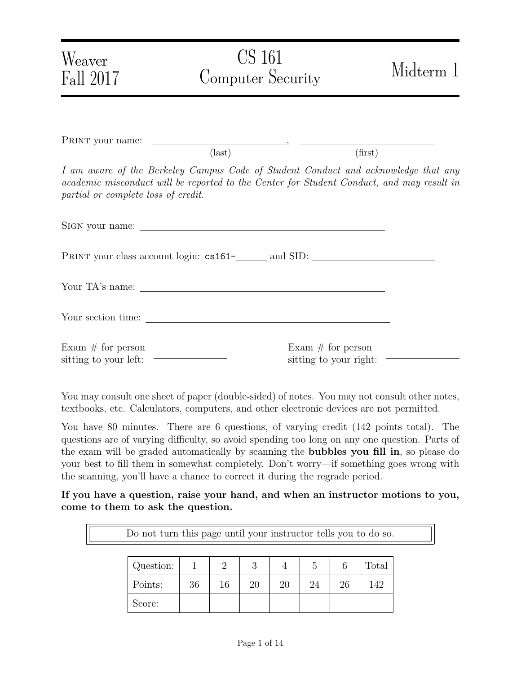| Weaver<br>Fall 2017                                                                                                                                                                                                    | CS 161<br>Computer Security |                                                 | Midterm 1 |
|------------------------------------------------------------------------------------------------------------------------------------------------------------------------------------------------------------------------|-----------------------------|-------------------------------------------------|-----------|
|                                                                                                                                                                                                                        |                             |                                                 |           |
|                                                                                                                                                                                                                        | $\text{(last)}$             | (first)                                         |           |
| I am aware of the Berkeley Campus Code of Student Conduct and acknowledge that any<br>academic misconduct will be reported to the Center for Student Conduct, and may result in<br>partial or complete loss of credit. |                             |                                                 |           |
|                                                                                                                                                                                                                        |                             |                                                 |           |
|                                                                                                                                                                                                                        |                             |                                                 |           |
|                                                                                                                                                                                                                        |                             |                                                 |           |
|                                                                                                                                                                                                                        |                             |                                                 |           |
| Exam $#$ for person<br>sitting to your left: $\begin{tabular}{ c c c } \hline \quad \quad & \quad \quad & \quad \quad \\ \hline \end{tabular}$                                                                         |                             | Exam $#$ for person<br>sitting to your right: - |           |

You may consult one sheet of paper (double-sided) of notes. You may not consult other notes, textbooks, etc. Calculators, computers, and other electronic devices are not permitted.

You have 80 minutes. There are 6 questions, of varying credit (142 points total). The questions are of varying difficulty, so avoid spending too long on any one question. Parts of the exam will be graded automatically by scanning the bubbles you fill in, so please do your best to fill them in somewhat completely. Don't worry—if something goes wrong with the scanning, you'll have a chance to correct it during the regrade period.

If you have a question, raise your hand, and when an instructor motions to you, come to them to ask the question.

| Do not turn this page until your instructor tells you to do so. |    |    |    |    |    |    |       |
|-----------------------------------------------------------------|----|----|----|----|----|----|-------|
|                                                                 |    |    |    |    |    |    |       |
| Question:                                                       |    |    | 3  |    | 5  |    | Total |
| Points:                                                         | 36 | 16 | 20 | 20 | 24 | 26 | 142   |
| score:                                                          |    |    |    |    |    |    |       |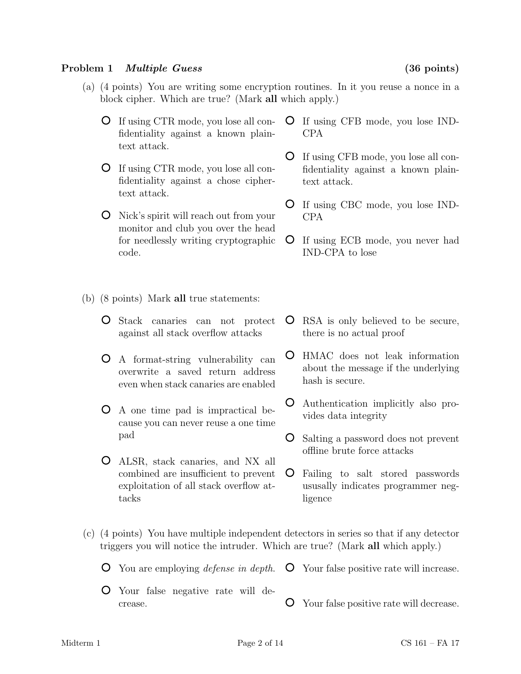### Problem 1 *Multiple Guess* (36 points)

- (a) (4 points) You are writing some encryption routines. In it you reuse a nonce in a block cipher. Which are true? (Mark all which apply.)
	- If using CTR mode, you lose all confidentiality against a known plaintext attack.
	- If using CTR mode, you lose all confidentiality against a chose ciphertext attack.
	- Nick's spirit will reach out from your monitor and club you over the head for needlessly writing cryptographic code.
- (b) (8 points) Mark all true statements:
	- Stack canaries can not protect against all stack overflow attacks
	- A format-string vulnerability can overwrite a saved return address even when stack canaries are enabled
	- A one time pad is impractical because you can never reuse a one time pad
	- ALSR, stack canaries, and NX all combined are insufficient to prevent exploitation of all stack overflow attacks
- If using CFB mode, you lose IND-CPA
- If using CFB mode, you lose all confidentiality against a known plaintext attack.
- If using CBC mode, you lose IND-CPA
- If using ECB mode, you never had IND-CPA to lose
- RSA is only believed to be secure, there is no actual proof
- HMAC does not leak information about the message if the underlying hash is secure.
- Authentication implicitly also provides data integrity
- Salting a password does not prevent offline brute force attacks
- Failing to salt stored passwords ususally indicates programmer negligence
- (c) (4 points) You have multiple independent detectors in series so that if any detector triggers you will notice the intruder. Which are true? (Mark all which apply.)

You are employing defense in depth. Your false positive rate will increase.

Your false negative rate will decrease. Your false positive rate will decrease.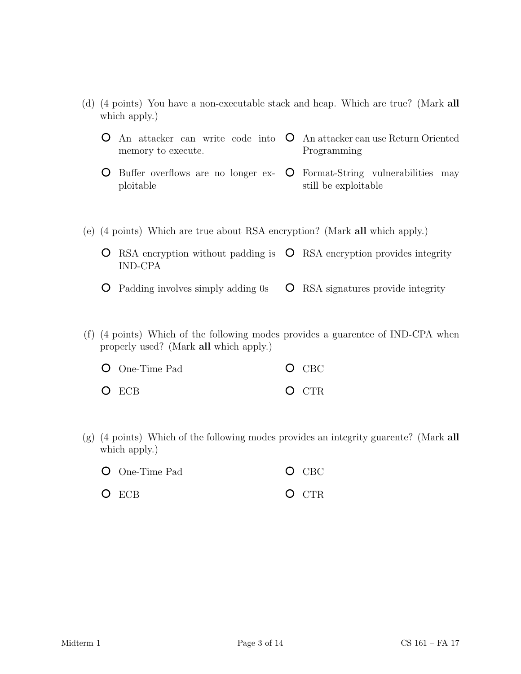- (d) (4 points) You have a non-executable stack and heap. Which are true? (Mark all which apply.)
	- An attacker can write code into  $\circ$  An attacker can use Return Oriented memory to execute. Programming
	- Buffer overflows are no longer exploitable Format-String vulnerabilities may still be exploitable
- (e) (4 points) Which are true about RSA encryption? (Mark all which apply.)
	- RSA encryption without padding is  $\circ$  RSA encryption provides integrity IND-CPA
	- Padding involves simply adding 0s RSA signatures provide integrity
- (f) (4 points) Which of the following modes provides a guarentee of IND-CPA when properly used? (Mark all which apply.)

| $\bullet$ One-Time Pad | $O$ CBC |
|------------------------|---------|
| O ECB                  | O CTR   |

(g) (4 points) Which of the following modes provides an integrity guarente? (Mark all which apply.)

| <b>O</b> One-Time Pad | $O$ CBC |
|-----------------------|---------|
|                       |         |

O ECB O CTR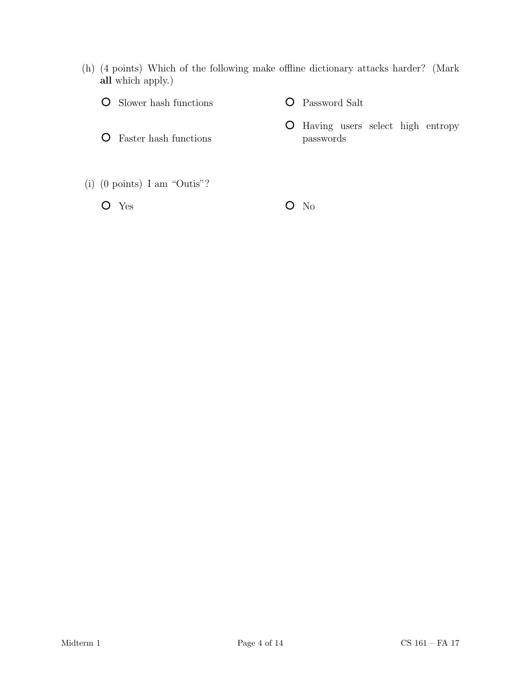(h) (4 points) Which of the following make offline dictionary attacks harder? (Mark all which apply.)

| <b>O</b> Slower hash functions | <b>O</b> Password Salt                         |  |
|--------------------------------|------------------------------------------------|--|
| Faster hash functions          | <b>O</b> Having users select high<br>passwords |  |
| (i) (0 points) I am "Outis"?   |                                                |  |

 $O$  Yes  $O$  No

entropy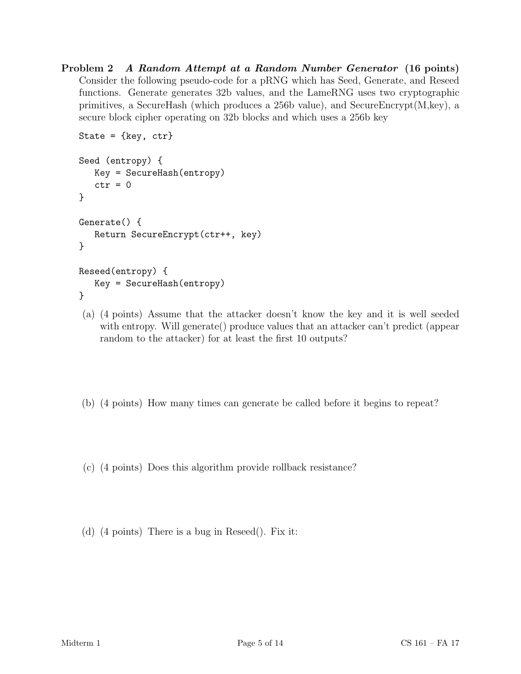Problem 2 A Random Attempt at a Random Number Generator (16 points) Consider the following pseudo-code for a pRNG which has Seed, Generate, and Reseed functions. Generate generates 32b values, and the LameRNG uses two cryptographic primitives, a SecureHash (which produces a 256b value), and SecureEncrypt $(M, \text{key})$ , a secure block cipher operating on 32b blocks and which uses a 256b key

```
State = \{ \text{key}, \text{ctr} \}Seed (entropy) {
   Key = SecureHash(entropy)
   ctr = 0}
Generate() {
   Return SecureEncrypt(ctr++, key)
}
Reseed(entropy) {
   Key = SecureHash(entropy)
}
```
- (a) (4 points) Assume that the attacker doesn't know the key and it is well seeded with entropy. Will generate() produce values that an attacker can't predict (appear random to the attacker) for at least the first 10 outputs?
- (b) (4 points) How many times can generate be called before it begins to repeat?
- (c) (4 points) Does this algorithm provide rollback resistance?
- (d) (4 points) There is a bug in Reseed(). Fix it: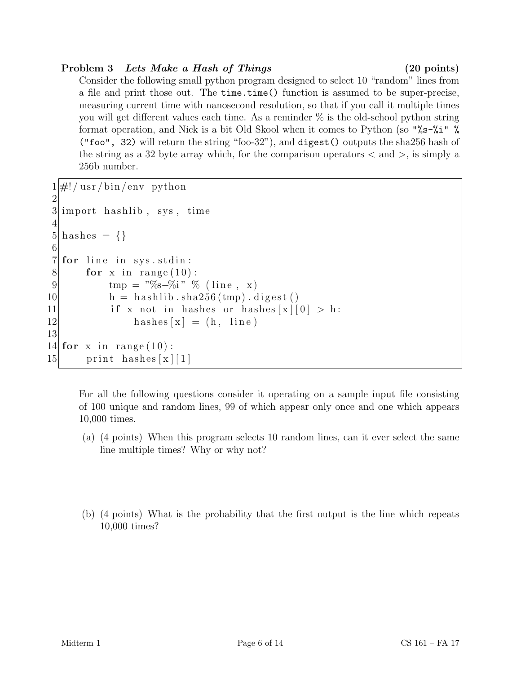# Problem 3 Lets Make a Hash of Things (20 points)

Consider the following small python program designed to select 10 "random" lines from a file and print those out. The time.time() function is assumed to be super-precise, measuring current time with nanosecond resolution, so that if you call it multiple times you will get different values each time. As a reminder % is the old-school python string format operation, and Nick is a bit Old Skool when it comes to Python (so "%s-%i" % ("foo", 32) will return the string "foo-32"), and digest() outputs the sha256 hash of the string as a 32 byte array which, for the comparison operators  $\langle$  and  $\rangle$ , is simply a 256b number.

```
1 \#! / \text{usr/bin/env} python
 2
 3 import has hlib, sys, time
 4
 5 hashes = \{\}6
 7 for line in sys.stdin:
 8 for x in range (10):
 9 \text{tmp} = \sqrt[15]{6} - \frac{5}{1} " % ( line, x)
10 h = h as hlib . sha 256 \, (\text{tmp}) . digest ()
11 if x not in hashes or hashes \lfloor x \rfloor [0] > h:
12 hashes [x] = (h, \text{ line})13
14 for x in range (10):
15 print hashes x \mid 1
```
For all the following questions consider it operating on a sample input file consisting of 100 unique and random lines, 99 of which appear only once and one which appears 10,000 times.

- (a) (4 points) When this program selects 10 random lines, can it ever select the same line multiple times? Why or why not?
- (b) (4 points) What is the probability that the first output is the line which repeats 10,000 times?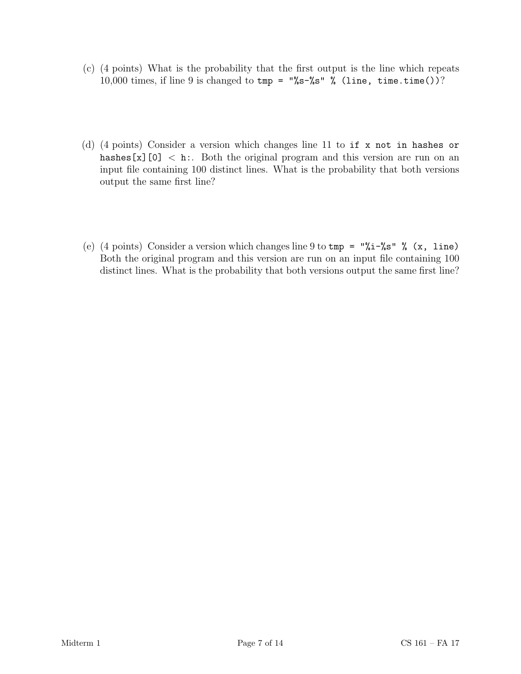- (c) (4 points) What is the probability that the first output is the line which repeats 10,000 times, if line 9 is changed to  $tmp = "\&s-\&s"$  % (line, time.time())?
- (d) (4 points) Consider a version which changes line 11 to if x not in hashes or hashes [x][0]  $\langle$  h:. Both the original program and this version are run on an input file containing 100 distinct lines. What is the probability that both versions output the same first line?
- (e) (4 points) Consider a version which changes line 9 to  $\text{tmp} = \frac{\sqrt{1-\%s}}{\sqrt{5}}$  (x, line) Both the original program and this version are run on an input file containing 100 distinct lines. What is the probability that both versions output the same first line?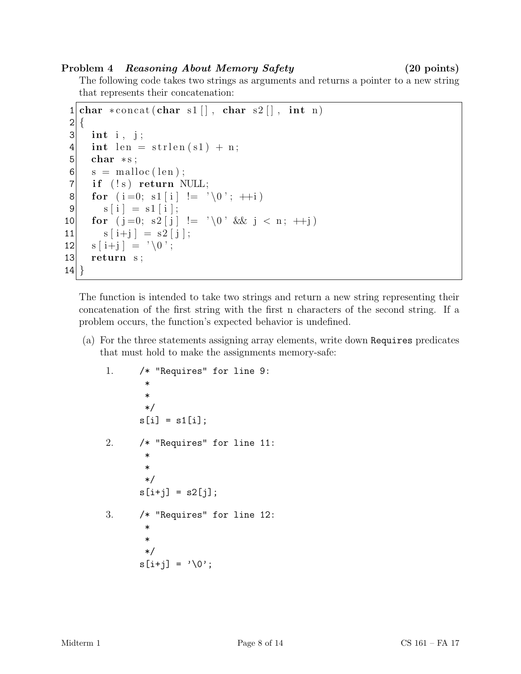# Problem 4 Reasoning About Memory Safety (20 points)

The following code takes two strings as arguments and returns a pointer to a new string that represents their concatenation:

```
1 | char * concat(char s1[], char s2[], int n)2 \mid \{3 int i, j;
4 int len = strlen(s1) + n;5 char * s;
6 \mid s = \text{malloc}(\text{len});7 if (!s) return NULL;
8 for (i=0; s1[i] != ' \0'; ++i)9 s[i] = s1[i];10 for (j=0; s2 [j] := ' \0' \&\& j < n; +j)11 s[i+j] = s2[j];12 s[i+j] = ' \ 0';13 return s;
14 }
```
The function is intended to take two strings and return a new string representing their concatenation of the first string with the first n characters of the second string. If a problem occurs, the function's expected behavior is undefined.

(a) For the three statements assigning array elements, write down Requires predicates that must hold to make the assignments memory-safe:

1. /\* "Requires" for line 9: \* \* \*/  $s[i] = s1[i];$ 2. /\* "Requires" for line 11: \* \* \*/  $s[i+j] = s2[j];$ 3. /\* "Requires" for line 12: \* \* \*/  $s[i+j] = '0';$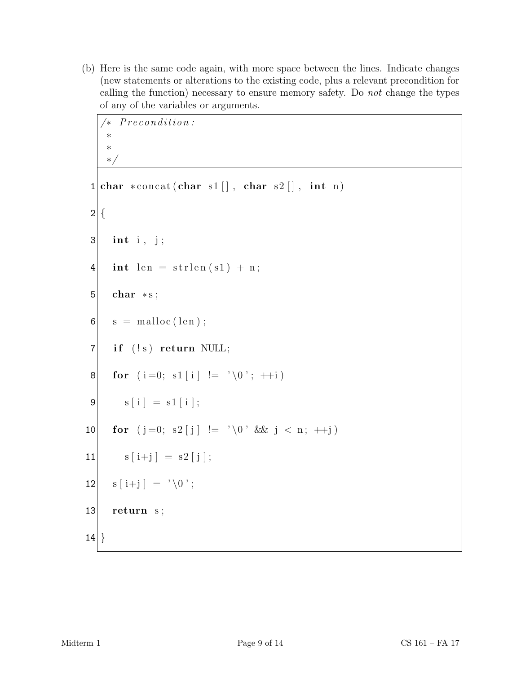(b) Here is the same code again, with more space between the lines. Indicate changes (new statements or alterations to the existing code, plus a relevant precondition for calling the function) necessary to ensure memory safety. Do not change the types of any of the variables or arguments.

```
/* Precondition:
    ∗
    ∗
    ∗/
 1 | char * concat(char s1[], char s2[], int n)2 \mid \{3 int i, j;
 4 int len = strlen(s1) + n;5 char * s;
 6 \mid s = \text{malloc}(\text{len});7 if (!s) return NULL;
 8 for (i=0; s1[i] \equiv \sqrt[3]{0}; +i9 s[i] = s1[i];10 for (j=0; s2 [j] := ' \setminus 0 ' && j < n; +j)
11 s[i+j] = s2[j];12 \vert s \vert i+j \vert = \vert \setminus 0 \vert;
13 return s;
14}
```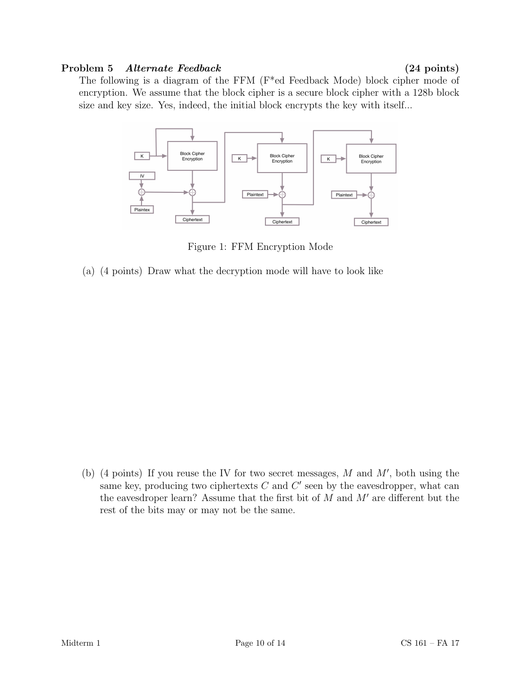### Problem 5 Alternate Feedback (24 points)

The following is a diagram of the FFM (F\*ed Feedback Mode) block cipher mode of encryption. We assume that the block cipher is a secure block cipher with a 128b block size and key size. Yes, indeed, the initial block encrypts the key with itself...



Figure 1: FFM Encryption Mode

(a) (4 points) Draw what the decryption mode will have to look like

(b) (4 points) If you reuse the IV for two secret messages,  $M$  and  $M'$ , both using the same key, producing two ciphertexts  $C$  and  $C'$  seen by the eavesdropper, what can the eavesdroper learn? Assume that the first bit of  $M$  and  $M'$  are different but the rest of the bits may or may not be the same.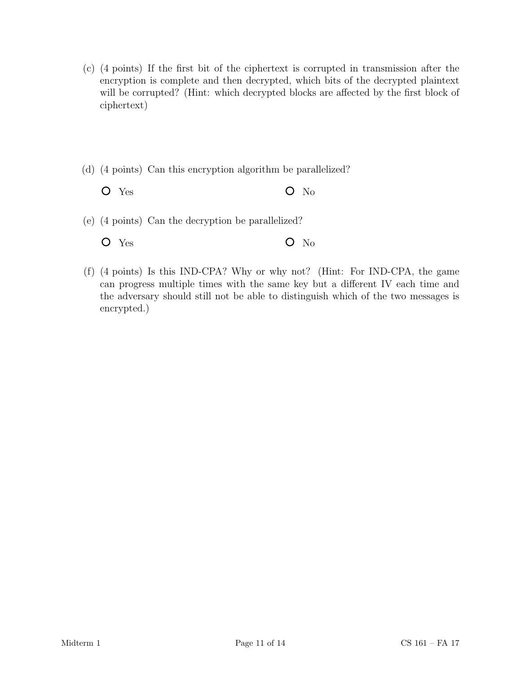- (c) (4 points) If the first bit of the ciphertext is corrupted in transmission after the encryption is complete and then decrypted, which bits of the decrypted plaintext will be corrupted? (Hint: which decrypted blocks are affected by the first block of ciphertext)
- (d) (4 points) Can this encryption algorithm be parallelized?
	- $O$  Yes  $O$  No
- (e) (4 points) Can the decryption be parallelized?
	- $O$  Yes  $O$  No
- (f) (4 points) Is this IND-CPA? Why or why not? (Hint: For IND-CPA, the game can progress multiple times with the same key but a different IV each time and the adversary should still not be able to distinguish which of the two messages is encrypted.)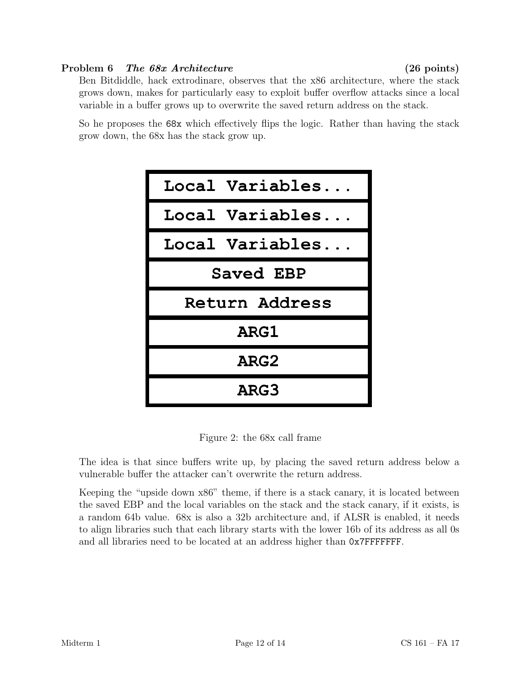# Problem 6 The 68x Architecture (26 points)

Ben Bitdiddle, hack extrodinare, observes that the x86 architecture, where the stack grows down, makes for particularly easy to exploit buffer overflow attacks since a local variable in a buffer grows up to overwrite the saved return address on the stack.

So he proposes the 68x which effectively flips the logic. Rather than having the stack grow down, the 68x has the stack grow up.



Figure 2: the 68x call frame

The idea is that since buffers write up, by placing the saved return address below a vulnerable buffer the attacker can't overwrite the return address.

Keeping the "upside down x86" theme, if there is a stack canary, it is located between the saved EBP and the local variables on the stack and the stack canary, if it exists, is a random 64b value. 68x is also a 32b architecture and, if ALSR is enabled, it needs to align libraries such that each library starts with the lower 16b of its address as all 0s and all libraries need to be located at an address higher than 0x7FFFFFFF.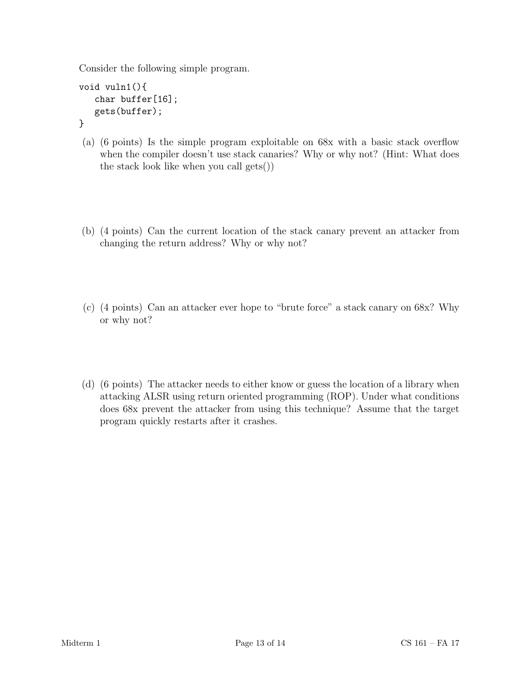Consider the following simple program.

```
void vuln1(){
   char buffer[16];
   gets(buffer);
```
- }
- (a) (6 points) Is the simple program exploitable on 68x with a basic stack overflow when the compiler doesn't use stack canaries? Why or why not? (Hint: What does the stack look like when you call gets())
- (b) (4 points) Can the current location of the stack canary prevent an attacker from changing the return address? Why or why not?
- (c) (4 points) Can an attacker ever hope to "brute force" a stack canary on 68x? Why or why not?
- (d) (6 points) The attacker needs to either know or guess the location of a library when attacking ALSR using return oriented programming (ROP). Under what conditions does 68x prevent the attacker from using this technique? Assume that the target program quickly restarts after it crashes.